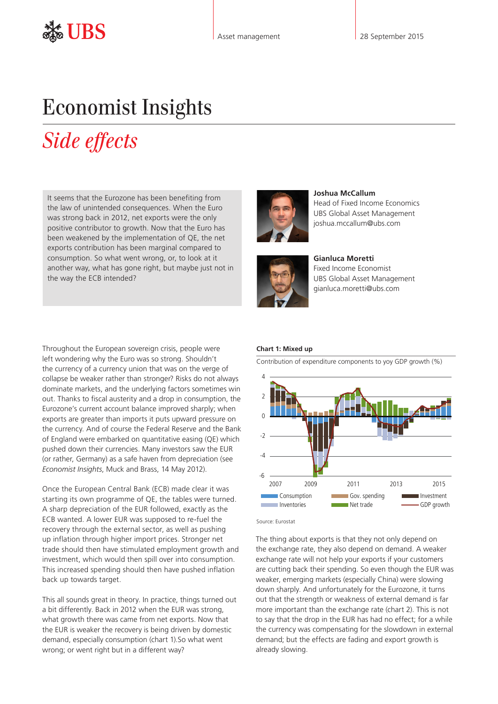# Economist Insights

# *Side effects*

It seems that the Eurozone has been benefiting from the law of unintended consequences. When the Euro was strong back in 2012, net exports were the only positive contributor to growth. Now that the Euro has been weakened by the implementation of QE, the net exports contribution has been marginal compared to consumption. So what went wrong, or, to look at it another way, what has gone right, but maybe just not in the way the ECB intended?

Throughout the European sovereign crisis, people were left wondering why the Euro was so strong. Shouldn't the currency of a currency union that was on the verge of collapse be weaker rather than stronger? Risks do not always dominate markets, and the underlying factors sometimes win out. Thanks to fiscal austerity and a drop in consumption, the Eurozone's current account balance improved sharply; when exports are greater than imports it puts upward pressure on the currency. And of course the Federal Reserve and the Bank of England were embarked on quantitative easing (QE) which pushed down their currencies. Many investors saw the EUR (or rather, Germany) as a safe haven from depreciation [\(see](http://www.ubs.com/content/dam/static/asset_management/global/research/insights/economist-insights-20120514.pdf)  *Economist Insights*[, Muck and Brass, 14 May 2012\)](http://www.ubs.com/content/dam/static/asset_management/global/research/insights/economist-insights-20120514.pdf).

Once the European Central Bank (ECB) made clear it was starting its own programme of QE, the tables were turned. A sharp depreciation of the EUR followed, exactly as the ECB wanted. A lower EUR was supposed to re-fuel the recovery through the external sector, as well as pushing up inflation through higher import prices. Stronger net trade should then have stimulated employment growth and investment, which would then spill over into consumption. This increased spending should then have pushed inflation back up towards target.

This all sounds great in theory. In practice, things turned out a bit differently. Back in 2012 when the EUR was strong, what growth there was came from net exports. Now that the EUR is weaker the recovery is being driven by domestic demand, especially consumption (chart 1).So what went wrong; or went right but in a different way?



**Joshua McCallum** Head of Fixed Income Economics UBS Global Asset Management joshua.mccallum@ubs.com



**Gianluca Moretti**  Fixed Income Economist UBS Global Asset Management gianluca.moretti@ubs.com

## **Chart 1: Mixed up**

Contribution of expenditure components to yoy GDP growth (%)



Source: Eurostat

The thing about exports is that they not only depend on the exchange rate, they also depend on demand. A weaker exchange rate will not help your exports if your customers are cutting back their spending. So even though the EUR was weaker, emerging markets (especially China) were slowing down sharply. And unfortunately for the Eurozone, it turns out that the strength or weakness of external demand is far more important than the exchange rate (chart 2). This is not to say that the drop in the EUR has had no effect; for a while the currency was compensating for the slowdown in external demand; but the effects are fading and export growth is already slowing.